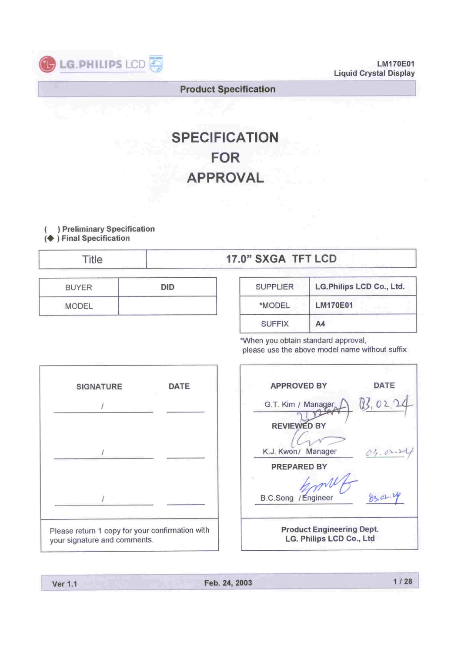

**LM170E01 Liquid Crystal Display**

#### **Product Specification**

# **SPECIFICATION FOR APPROVAL**

) Preliminary Specification  $\left($ (♦) Final Specification

Title

## 17.0" SXGA TFT LCD

| <b>BUYER</b>                      | חוח                                 |
|-----------------------------------|-------------------------------------|
| <b>MODEL</b><br><b>The second</b> | ________<br>__________<br>___<br>__ |

| <b>SUPPLIER</b> | LG.Philips LCD Co., Ltd. |
|-----------------|--------------------------|
| *MODEL          | <b>LM170E01</b>          |
| <b>SUFFIX</b>   | A4                       |

\*When you obtain standard approval, please use the above model name without suffix



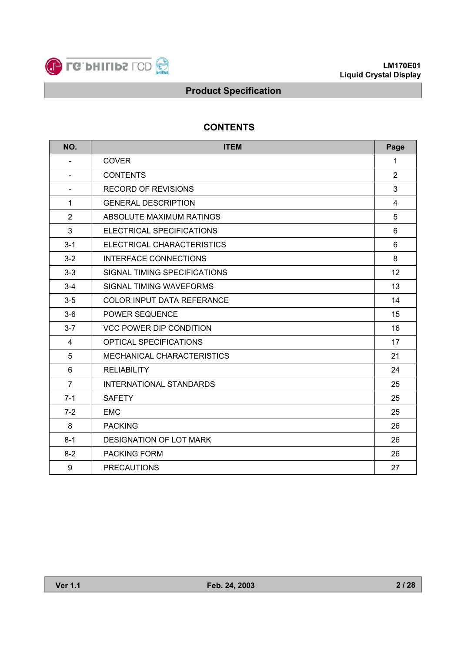

## **CONTENTS**

| NO.            | <b>ITEM</b>                    |                |  |  |  |  |  |
|----------------|--------------------------------|----------------|--|--|--|--|--|
|                | <b>COVER</b>                   | $\mathbf{1}$   |  |  |  |  |  |
| Ξ.             | <b>CONTENTS</b>                | $\overline{2}$ |  |  |  |  |  |
| ÷              | <b>RECORD OF REVISIONS</b>     | 3              |  |  |  |  |  |
| $\mathbf{1}$   | <b>GENERAL DESCRIPTION</b>     | 4              |  |  |  |  |  |
| $\overline{2}$ | ABSOLUTE MAXIMUM RATINGS       | 5              |  |  |  |  |  |
| 3              | ELECTRICAL SPECIFICATIONS      | 6              |  |  |  |  |  |
| $3 - 1$        | ELECTRICAL CHARACTERISTICS     | 6              |  |  |  |  |  |
| $3 - 2$        | <b>INTERFACE CONNECTIONS</b>   | 8              |  |  |  |  |  |
| $3 - 3$        | SIGNAL TIMING SPECIFICATIONS   | 12             |  |  |  |  |  |
| $3 - 4$        | <b>SIGNAL TIMING WAVEFORMS</b> | 13             |  |  |  |  |  |
| $3-5$          | COLOR INPUT DATA REFERANCE     | 14             |  |  |  |  |  |
| $3-6$          | POWER SEQUENCE                 | 15             |  |  |  |  |  |
| $3 - 7$        | <b>VCC POWER DIP CONDITION</b> | 16             |  |  |  |  |  |
| 4              | <b>OPTICAL SPECIFICATIONS</b>  | 17             |  |  |  |  |  |
| 5              | MECHANICAL CHARACTERISTICS     | 21             |  |  |  |  |  |
| 6              | <b>RELIABILITY</b>             | 24             |  |  |  |  |  |
| $\overline{7}$ | <b>INTERNATIONAL STANDARDS</b> | 25             |  |  |  |  |  |
| $7 - 1$        | <b>SAFETY</b>                  | 25             |  |  |  |  |  |
| $7-2$          | <b>EMC</b>                     | 25             |  |  |  |  |  |
| 8              | <b>PACKING</b>                 | 26             |  |  |  |  |  |
| $8 - 1$        | DESIGNATION OF LOT MARK        | 26             |  |  |  |  |  |
| $8 - 2$        | <b>PACKING FORM</b>            | 26             |  |  |  |  |  |
| 9              | <b>PRECAUTIONS</b>             | 27             |  |  |  |  |  |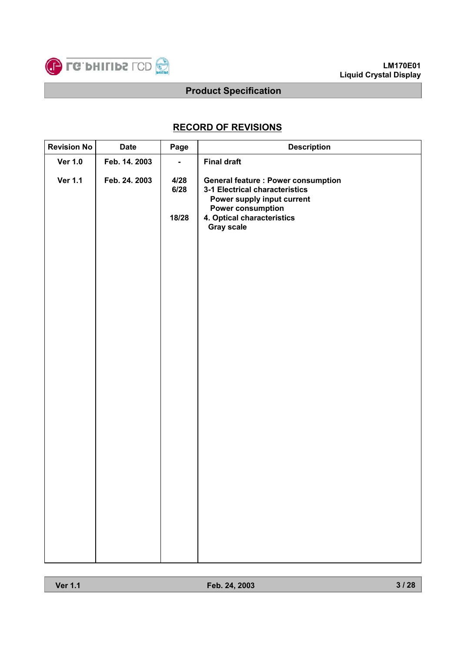

## **RECORD OF REVISIONS**

| <b>Revision No</b> | <b>Date</b>   | Page           | <b>Description</b>                                                                                                                     |
|--------------------|---------------|----------------|----------------------------------------------------------------------------------------------------------------------------------------|
| <b>Ver 1.0</b>     | Feb. 14. 2003 | $\blacksquare$ | <b>Final draft</b>                                                                                                                     |
| <b>Ver 1.1</b>     | Feb. 24. 2003 | 4/28<br>6/28   | <b>General feature : Power consumption</b><br>3-1 Electrical characteristics<br>Power supply input current<br><b>Power consumption</b> |
|                    |               | 18/28          | 4. Optical characteristics<br><b>Gray scale</b>                                                                                        |
|                    |               |                |                                                                                                                                        |
|                    |               |                |                                                                                                                                        |
|                    |               |                |                                                                                                                                        |
|                    |               |                |                                                                                                                                        |
|                    |               |                |                                                                                                                                        |
|                    |               |                |                                                                                                                                        |
|                    |               |                |                                                                                                                                        |
|                    |               |                |                                                                                                                                        |
|                    |               |                |                                                                                                                                        |
|                    |               |                |                                                                                                                                        |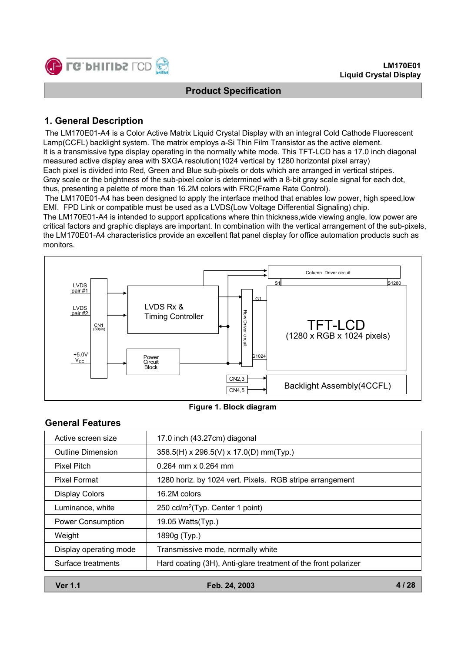

## **1. General Description**

The LM170E01-A4 is a Color Active Matrix Liquid Crystal Display with an integral Cold Cathode Fluorescent Lamp(CCFL) backlight system. The matrix employs a-Si Thin Film Transistor as the active element. It is a transmissive type display operating in the normally white mode. This TFT-LCD has a 17.0 inch diagonal measured active display area with SXGA resolution(1024 vertical by 1280 horizontal pixel array) Each pixel is divided into Red, Green and Blue sub-pixels or dots which are arranged in vertical stripes. Gray scale or the brightness of the sub-pixel color is determined with a 8-bit gray scale signal for each dot, thus, presenting a palette of more than 16.2M colors with FRC(Frame Rate Control).

The LM170E01-A4 has been designed to apply the interface method that enables low power, high speed,low EMI. FPD Link or compatible must be used as a LVDS(Low Voltage Differential Signaling) chip.

The LM170E01-A4 is intended to support applications where thin thickness,wide viewing angle, low power are critical factors and graphic displays are important. In combination with the vertical arrangement of the sub-pixels, the LM170E01-A4 characteristics provide an excellent flat panel display for office automation products such as monitors.



#### **Figure 1. Block diagram**

## **General Features**

| Active screen size                                                                   | 17.0 inch (43.27cm) diagonal                             |
|--------------------------------------------------------------------------------------|----------------------------------------------------------|
| <b>Outline Dimension</b>                                                             | 358.5(H) x 296.5(V) x 17.0(D) mm(Typ.)                   |
| <b>Pixel Pitch</b>                                                                   | 0.264 mm x 0.264 mm                                      |
| <b>Pixel Format</b>                                                                  | 1280 horiz. by 1024 vert. Pixels. RGB stripe arrangement |
| <b>Display Colors</b>                                                                | 16.2M colors                                             |
| Luminance, white                                                                     | 250 cd/m <sup>2</sup> (Typ. Center 1 point)              |
| <b>Power Consumption</b>                                                             | 19.05 Watts(Typ.)                                        |
| Weight                                                                               | 1890g (Typ.)                                             |
| Display operating mode                                                               | Transmissive mode, normally white                        |
| Hard coating (3H), Anti-glare treatment of the front polarizer<br>Surface treatments |                                                          |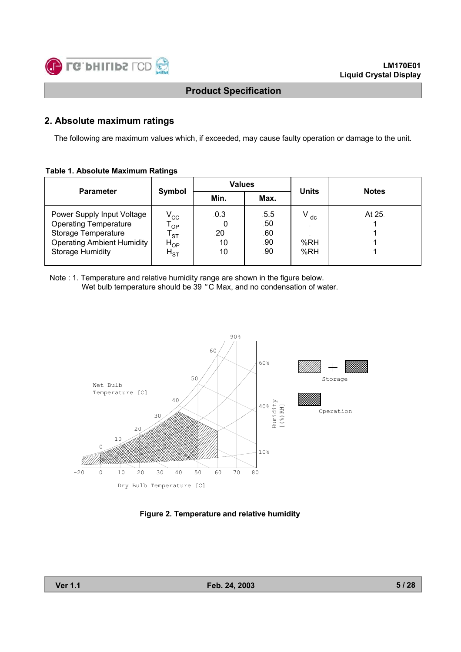

## **2. Absolute maximum ratings**

The following are maximum values which, if exceeded, may cause faulty operation or damage to the unit.

#### **Table 1. Absolute Maximum Ratings**

|                                                                                                                                                   |                                                                    | <b>Values</b>           |                                  |                        |              |  |
|---------------------------------------------------------------------------------------------------------------------------------------------------|--------------------------------------------------------------------|-------------------------|----------------------------------|------------------------|--------------|--|
| <b>Parameter</b>                                                                                                                                  | Symbol<br>Min.                                                     |                         | Max.                             | <b>Units</b>           | <b>Notes</b> |  |
| Power Supply Input Voltage<br><b>Operating Temperature</b><br>Storage Temperature<br><b>Operating Ambient Humidity</b><br><b>Storage Humidity</b> | $V_{\rm CC}$<br><b>OP</b><br><b>ST</b><br>$H_{OP}$<br>$H_{\rm ST}$ | .0.3<br>.20<br>10<br>10 | .5.5<br>.50<br>.60<br>.90<br>.90 | $V_{dc}$<br>%RH<br>%RH | At 25.       |  |

Note : 1. Temperature and relative humidity range are shown in the figure below. Wet bulb temperature should be 39 °C Max, and no condensation of water.



**Figure 2. Temperature and relative humidity**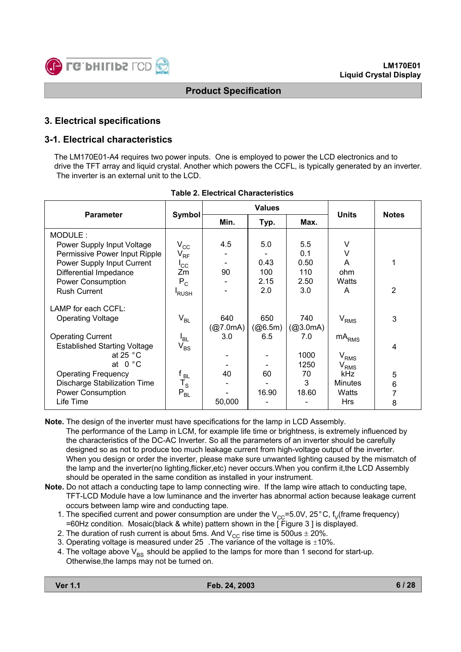

## **3. Electrical specifications**

## **3-1. Electrical characteristics**

The LM170E01-A4 requires two power inputs. One is employed to power the LCD electronics and to drive the TFT array and liquid crystal. Another which powers the CCFL, is typically generated by an inverter. The inverter is an external unit to the LCD.

|                                     |                 |          | <b>Values</b> | <b>Units</b> | <b>Notes</b>   |                |
|-------------------------------------|-----------------|----------|---------------|--------------|----------------|----------------|
| <b>Parameter</b>                    | Symbol          | Min.     | Typ.          | Max.         |                |                |
| MODULE:                             |                 |          |               |              |                |                |
| Power Supply Input Voltage          | $V_{\rm CC}$    | 4.5      | 5.0           | 5.5          | V              |                |
| Permissive Power Input Ripple       | $V_{RF}$        |          |               | 0.1          | v              |                |
| Power Supply Input Current          | $I_{\rm CC}$    |          | 0.43          | 0.50         | A              | 1              |
| Differential Impedance              | Zm              | 90       | 100           | 110          | ohm            |                |
| Power Consumption                   | $P_C$           |          | 2.15          | 2.50         | Watts          |                |
| <b>Rush Current</b>                 | <b>RUSH</b>     |          | 2.0           | 3.0          | A              | $\overline{2}$ |
| LAMP for each CCFL:                 |                 |          |               |              |                |                |
| <b>Operating Voltage</b>            | $V_{BL}$        | 640      | 650           | 740          | $V_{RMS}$      | 3              |
|                                     |                 | (@7.0mA) | (@6.5m)       | (@3.0mA)     |                |                |
| <b>Operating Current</b>            | $I_{BL}$        | 3.0      | 6.5           | 7.0          | $mA_{RMS}$     |                |
| <b>Established Starting Voltage</b> | $V_{BS}$        |          |               |              |                | 4              |
| at 25 $^{\circ}$ C                  |                 |          |               | 1000         | $\rm V_{RMS}$  |                |
| at $0 °C$                           |                 |          |               | 1250         | $V_{RMS}$      |                |
| <b>Operating Frequency</b>          | f <sub>BL</sub> | 40       | 60            | 70           | kHz            | 5              |
| Discharge Stabilization Time        | $T_{\rm S}$     |          |               | 3            | <b>Minutes</b> | 6              |
| <b>Power Consumption</b>            | $P_{BL}$        |          | 16.90         | 18.60        | Watts          |                |
| Life Time                           |                 | 50,000   |               |              | <b>Hrs</b>     | 8              |

**Table 2. Electrical Characteristics**

**Note.** The design of the inverter must have specifications for the lamp in LCD Assembly. The performance of the Lamp in LCM, for example life time or brightness, is extremely influenced by the characteristics of the DC-AC Inverter. So all the parameters of an inverter should be carefully designed so as not to produce too much leakage current from high-voltage output of the inverter. When you design or order the inverter, please make sure unwanted lighting caused by the mismatch of the lamp and the inverter(no lighting,flicker,etc) never occurs.When you confirm it,the LCD Assembly should be operated in the same condition as installed in your instrument.

**Note.** Do not attach a conducting tape to lamp connecting wire. If the lamp wire attach to conducting tape, TFT-LCD Module have a low luminance and the inverter has abnormal action because leakage current occurs between lamp wire and conducting tape.

- 1. The specified current and power consumption are under the  $V_{CC}=5.0V$ , 25°C, f<sub>V</sub>(frame frequency) =60Hz condition. Mosaic(black & white) pattern shown in the [ Figure 3 ] is displayed.
- 2. The duration of rush current is about 5ms. And  $V_{CC}$  rise time is 500us  $\pm$  20%.
- 3. Operating voltage is measured under 25 . The variance of the voltage is  $\pm 10\%$ .
- 4. The voltage above  $V_{BS}$  should be applied to the lamps for more than 1 second for start-up. Otherwise,the lamps may not be turned on.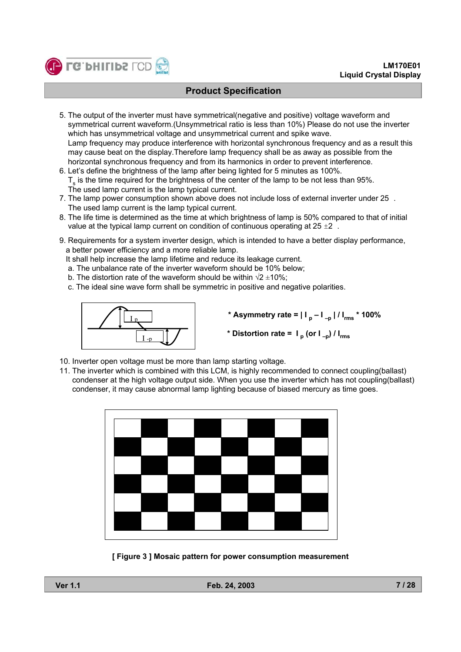

- 5. The output of the inverter must have symmetrical(negative and positive) voltage waveform and symmetrical current waveform.(Unsymmetrical ratio is less than 10%) Please do not use the inverter which has unsymmetrical voltage and unsymmetrical current and spike wave. Lamp frequency may produce interference with horizontal synchronous frequency and as a result this may cause beat on the display.Therefore lamp frequency shall be as away as possible from the horizontal synchronous frequency and from its harmonics in order to prevent interference.
- 6. Let's define the brightness of the lamp after being lighted for 5 minutes as 100%.  $T<sub>s</sub>$  is the time required for the brightness of the center of the lamp to be not less than 95%. The used lamp current is the lamp typical current.
- 7. The lamp power consumption shown above does not include loss of external inverter under 25 . The used lamp current is the lamp typical current.
- 8. The life time is determined as the time at which brightness of lamp is 50% compared to that of initial value at the typical lamp current on condition of continuous operating at  $25 \pm 2$ .
- 9. Requirements for a system inverter design, which is intended to have a better display performance, a better power efficiency and a more reliable lamp.
	- It shall help increase the lamp lifetime and reduce its leakage current.
	- a. The unbalance rate of the inverter waveform should be 10% below;
	- b. The distortion rate of the waveform should be within  $\sqrt{2} \pm 10\%$ ;
	- c. The ideal sine wave form shall be symmetric in positive and negative polarities.



- **\* Asymmetry rate = | I p I –p | / Irms \* 100%**
- \* Distortion rate =  $I_p$  (or  $I_{-p}$ ) /  $I_{rms}$
- 10. Inverter open voltage must be more than lamp starting voltage.
- 11. The inverter which is combined with this LCM, is highly recommended to connect coupling(ballast) condenser at the high voltage output side. When you use the inverter which has not coupling(ballast) condenser, it may cause abnormal lamp lighting because of biased mercury as time goes.



**[ Figure 3 ] Mosaic pattern for power consumption measurement**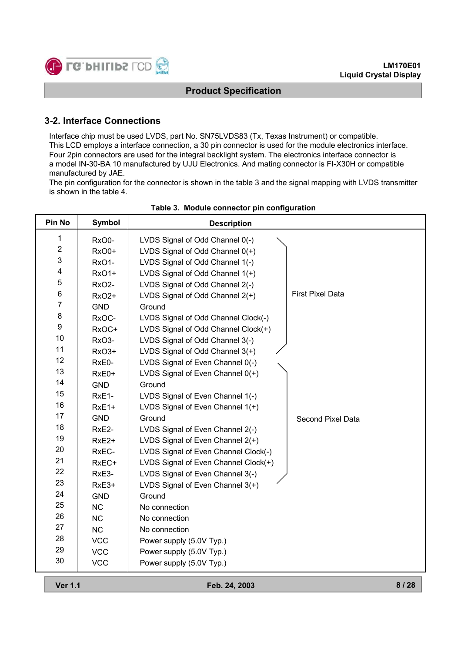

## **3-2. Interface Connections**

Interface chip must be used LVDS, part No. SN75LVDS83 (Tx, Texas Instrument) or compatible. This LCD employs a interface connection, a 30 pin connector is used for the module electronics interface. Four 2pin connectors are used for the integral backlight system. The electronics interface connector is a model IN-30-BA 10 manufactured by UJU Electronics. And mating connector is FI-X30H or compatible manufactured by JAE.

The pin configuration for the connector is shown in the table 3 and the signal mapping with LVDS transmitter is shown in the table 4.

| Pin No           | <b>Symbol</b>      | <b>Description</b>                   |                         |
|------------------|--------------------|--------------------------------------|-------------------------|
| 1                | RxO0-              | LVDS Signal of Odd Channel 0(-)      |                         |
| $\mathbf 2$      | RxO0+              | LVDS Signal of Odd Channel 0(+)      |                         |
| 3                | RxO1-              | LVDS Signal of Odd Channel 1(-)      |                         |
| 4                | RxO1+              | LVDS Signal of Odd Channel 1(+)      |                         |
| $\mathbf 5$      | RxO <sub>2</sub> - | LVDS Signal of Odd Channel 2(-)      |                         |
| 6                | <b>RxO2+</b>       | LVDS Signal of Odd Channel 2(+)      | <b>First Pixel Data</b> |
| $\overline{7}$   | <b>GND</b>         | Ground                               |                         |
| 8                | RxOC-              | LVDS Signal of Odd Channel Clock(-)  |                         |
| $\boldsymbol{9}$ | RxOC+              | LVDS Signal of Odd Channel Clock(+)  |                         |
| 10               | RxO <sub>3</sub> - | LVDS Signal of Odd Channel 3(-)      |                         |
| 11               | RxO3+              | LVDS Signal of Odd Channel 3(+)      |                         |
| 12               | RxE0-              | LVDS Signal of Even Channel 0(-)     |                         |
| 13               | RxE0+              | LVDS Signal of Even Channel 0(+)     |                         |
| 14               | <b>GND</b>         | Ground                               |                         |
| 15               | RxE1-              | LVDS Signal of Even Channel 1(-)     |                         |
| 16               | RxE1+              | LVDS Signal of Even Channel 1(+)     |                         |
| 17               | <b>GND</b>         | Ground                               | Second Pixel Data       |
| 18               | RxE2-              | LVDS Signal of Even Channel 2(-)     |                         |
| 19               | RxE <sub>2+</sub>  | LVDS Signal of Even Channel 2(+)     |                         |
| 20               | RxEC-              | LVDS Signal of Even Channel Clock(-) |                         |
| 21               | RxEC+              | LVDS Signal of Even Channel Clock(+) |                         |
| 22               | RxE3-              | LVDS Signal of Even Channel 3(-)     |                         |
| 23               | RxE3+              | LVDS Signal of Even Channel 3(+)     |                         |
| 24               | <b>GND</b>         | Ground                               |                         |
| 25               | <b>NC</b>          | No connection                        |                         |
| 26               | <b>NC</b>          | No connection                        |                         |
| 27               | NC                 | No connection                        |                         |
| 28               | <b>VCC</b>         | Power supply (5.0V Typ.)             |                         |
| 29               | <b>VCC</b>         | Power supply (5.0V Typ.)             |                         |
| 30               | <b>VCC</b>         | Power supply (5.0V Typ.)             |                         |
|                  |                    |                                      |                         |

#### **Table 3. Module connector pin configuration**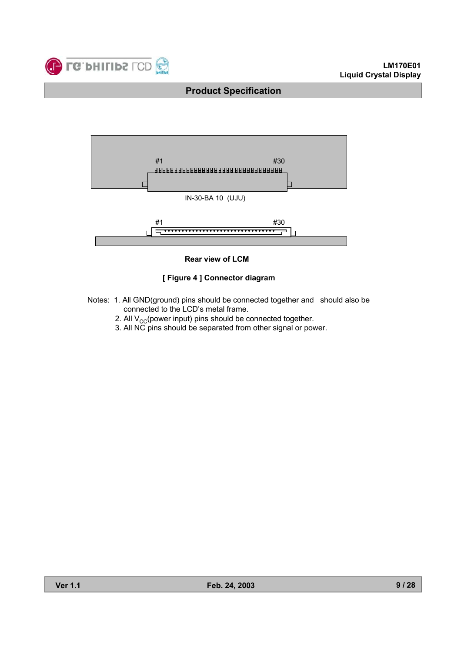



#### **Rear view of LCM**

#### **[ Figure 4 ] Connector diagram**

- Notes: 1. All GND(ground) pins should be connected together and should also be connected to the LCD's metal frame.
	- 2. All  $V_{CC}$ (power input) pins should be connected together.
	- 3. All NC pins should be separated from other signal or power.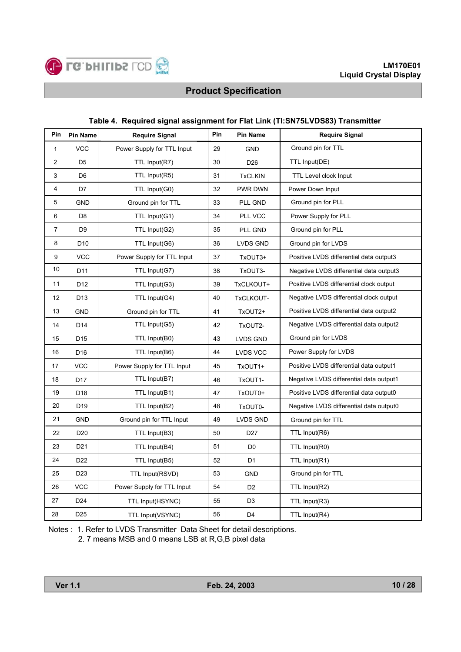

| Pin            | <b>Pin Name</b> | <b>Require Signal</b>      | Pin | Pin Name        | <b>Require Signal</b>                   |
|----------------|-----------------|----------------------------|-----|-----------------|-----------------------------------------|
| $\mathbf{1}$   | <b>VCC</b>      | Power Supply for TTL Input | 29  | <b>GND</b>      | Ground pin for TTL                      |
| 2              | D <sub>5</sub>  | TTL Input(R7)              | 30  | D <sub>26</sub> | TTL Input(DE)                           |
| 3              | D <sub>6</sub>  | TTL Input(R5)              | 31  | <b>TxCLKIN</b>  | TTL Level clock Input                   |
| 4              | D7              | TTL Input(G0)              | 32  | PWR DWN         | Power Down Input                        |
| 5              | <b>GND</b>      | Ground pin for TTL         | 33  | PLL GND         | Ground pin for PLL                      |
| 6              | D <sub>8</sub>  | TTL Input(G1)              | 34  | PLL VCC         | Power Supply for PLL                    |
| $\overline{7}$ | D <sub>9</sub>  | TTL Input(G2)              | 35  | PLL GND         | Ground pin for PLL                      |
| 8              | D <sub>10</sub> | TTL Input(G6)              | 36  | LVDS GND        | Ground pin for LVDS                     |
| 9              | <b>VCC</b>      | Power Supply for TTL Input | 37  | TxOUT3+         | Positive LVDS differential data output3 |
| 10             | D <sub>11</sub> | TTL Input(G7)              | 38  | TxOUT3-         | Negative LVDS differential data output3 |
| 11             | D <sub>12</sub> | TTL Input(G3)              | 39  | TxCLKOUT+       | Positive LVDS differential clock output |
| 12             | D <sub>13</sub> | TTL Input(G4)              | 40  | TxCLKOUT-       | Negative LVDS differential clock output |
| 13             | <b>GND</b>      | Ground pin for TTL         | 41  | TxOUT2+         | Positive LVDS differential data output2 |
| 14             | D14             | TTL Input(G5)              | 42  | TxOUT2-         | Negative LVDS differential data output2 |
| 15             | D <sub>15</sub> | TTL Input(B0)              | 43  | <b>LVDS GND</b> | Ground pin for LVDS                     |
| 16             | D <sub>16</sub> | TTL Input(B6)              | 44  | LVDS VCC        | Power Supply for LVDS                   |
| 17             | <b>VCC</b>      | Power Supply for TTL Input | 45  | TxOUT1+         | Positive LVDS differential data output1 |
| 18             | D <sub>17</sub> | TTL Input(B7)              | 46  | TxOUT1-         | Negative LVDS differential data output1 |
| 19             | D <sub>18</sub> | TTL Input(B1)              | 47  | TxOUT0+         | Positive LVDS differential data output0 |
| 20             | D <sub>19</sub> | TTL Input(B2)              | 48  | TxOUT0-         | Negative LVDS differential data output0 |
| 21             | <b>GND</b>      | Ground pin for TTL Input   | 49  | LVDS GND        | Ground pin for TTL                      |
| 22             | D <sub>20</sub> | TTL Input(B3)              | 50  | D <sub>27</sub> | TTL Input(R6)                           |
| 23             | D <sub>21</sub> | TTL Input(B4)              | 51  | D <sub>0</sub>  | TTL Input(R0)                           |
| 24             | D <sub>22</sub> | TTL Input(B5)              | 52  | D1              | TTL Input(R1)                           |
| 25             | D <sub>23</sub> | TTL Input(RSVD)            | 53  | <b>GND</b>      | Ground pin for TTL                      |
| 26             | <b>VCC</b>      | Power Supply for TTL Input | 54  | D <sub>2</sub>  | TTL Input(R2)                           |
| 27             | D <sub>24</sub> | TTL Input(HSYNC)           | 55  | D <sub>3</sub>  | TTL Input(R3)                           |
| 28             | D <sub>25</sub> | TTL Input(VSYNC)           | 56  | D <sub>4</sub>  | TTL Input(R4)                           |

#### **Table 4. Required signal assignment for Flat Link (TI:SN75LVDS83) Transmitter**

Notes : 1. Refer to LVDS Transmitter Data Sheet for detail descriptions. 2. 7 means MSB and 0 means LSB at R,G,B pixel data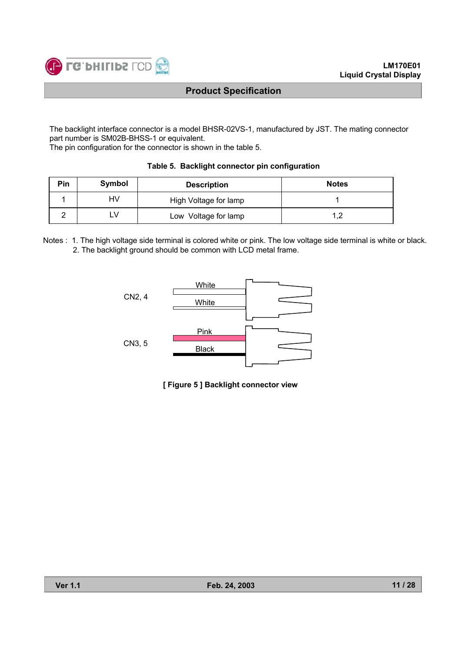

The backlight interface connector is a model BHSR-02VS-1, manufactured by JST. The mating connector part number is SM02B-BHSS-1 or equivalent.

The pin configuration for the connector is shown in the table 5.

| Pin | Symbol | <b>Description</b>    | <b>Notes</b> |
|-----|--------|-----------------------|--------------|
|     | HV     | High Voltage for lamp |              |
|     | _V     | Low Voltage for lamp  | C            |

|  |  |  | Table 5. Backlight connector pin configuration |
|--|--|--|------------------------------------------------|
|--|--|--|------------------------------------------------|

Notes : 1. The high voltage side terminal is colored white or pink. The low voltage side terminal is white or black. 2. The backlight ground should be common with LCD metal frame.



**[ Figure 5 ] Backlight connector view**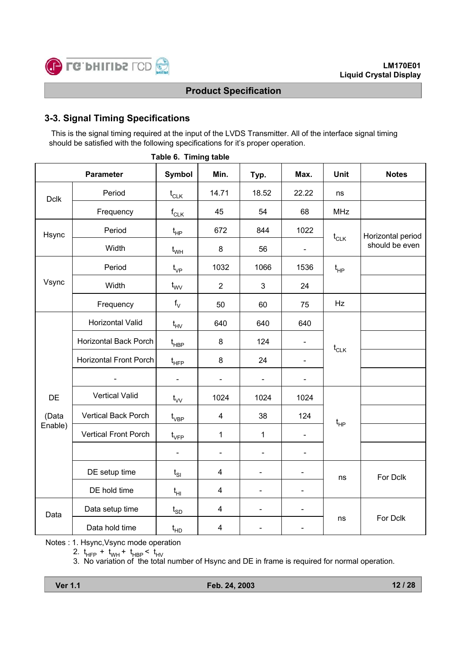

## **3-3. Signal Timing Specifications**

This is the signal timing required at the input of the LVDS Transmitter. All of the interface signal timing should be satisfied with the following specifications for it's proper operation.

|             | <b>Parameter</b>              | <b>Symbol</b>                    | Min.                    | Typ.                     | Max.                     | <b>Unit</b>                          | <b>Notes</b>      |
|-------------|-------------------------------|----------------------------------|-------------------------|--------------------------|--------------------------|--------------------------------------|-------------------|
| <b>Dclk</b> | Period                        | $t_{CLK}$                        | 14.71                   | 18.52                    | 22.22                    | ns                                   |                   |
|             | Frequency                     | $f_{CLK}$                        | 45                      | 54                       | 68                       | <b>MHz</b>                           |                   |
| Hsync       | Period                        | $t_{HP}$                         | 672                     | 844                      | 1022                     | $t_{\scriptscriptstyle{\text{CLK}}}$ | Horizontal period |
|             | Width                         | $t_{WH}$                         | $\bf 8$                 | 56                       | $\overline{\phantom{0}}$ |                                      | should be even    |
|             | Period                        | $t_{\rm VP}$                     | 1032                    | 1066                     | 1536                     | $t_{HP}$                             |                   |
| Vsync       | Width                         | $t_{\text{VV}}$                  | $\overline{2}$          | 3                        | 24                       |                                      |                   |
|             | Frequency                     | $f_V$                            | 50                      | 60                       | 75                       | Hz                                   |                   |
|             | Horizontal Valid              | $t_{HV}$                         | 640                     | 640                      | 640                      |                                      |                   |
|             | <b>Horizontal Back Porch</b>  | $t_{\sf HBP}$                    | $\bf 8$                 | 124                      | $\blacksquare$           | $t_{\scriptscriptstyle{\text{CLK}}}$ |                   |
|             | <b>Horizontal Front Porch</b> | $t_{\scriptscriptstyle \sf HFP}$ | 8                       | 24                       | ÷,                       |                                      |                   |
|             |                               | $\blacksquare$                   |                         |                          |                          |                                      |                   |
| DE          | <b>Vertical Valid</b>         | $t_{VV}$                         | 1024                    | 1024                     | 1024                     |                                      |                   |
| (Data       | Vertical Back Porch           | $t_{\rm VBP}$                    | $\overline{\mathbf{4}}$ | 38                       | 124                      | $t_{HP}$                             |                   |
| Enable)     | <b>Vertical Front Porch</b>   | $t_{\rm VFP}$                    | $\mathbf{1}$            | $\mathbf{1}$             |                          |                                      |                   |
|             |                               | $\blacksquare$                   | $\blacksquare$          | $\blacksquare$           | $\blacksquare$           |                                      |                   |
|             | DE setup time                 | $t_{SI}$                         | $\overline{\mathbf{4}}$ | $\blacksquare$           | $\overline{\phantom{0}}$ | ns                                   | For Dclk          |
|             | DE hold time                  | $t_{HI}$                         | $\overline{\mathbf{4}}$ | $\overline{\phantom{0}}$ | $\overline{\phantom{0}}$ |                                      |                   |
| Data        | Data setup time               | $t_{SD}$                         | $\overline{\mathbf{4}}$ | $\overline{\phantom{0}}$ | $\overline{\phantom{0}}$ |                                      |                   |
|             | Data hold time                | $t_{HD}$                         | $\overline{\mathbf{4}}$ |                          | $\overline{\phantom{0}}$ | ns                                   | For Dclk          |

**Table 6. Timing table**

Notes : 1. Hsync,Vsync mode operation

2. t<sub>HFP</sub> + t<sub>WH</sub> + t<sub>HBP</sub> < t<sub>HV</sub>

3. No variation of the total number of Hsync and DE in frame is required for normal operation.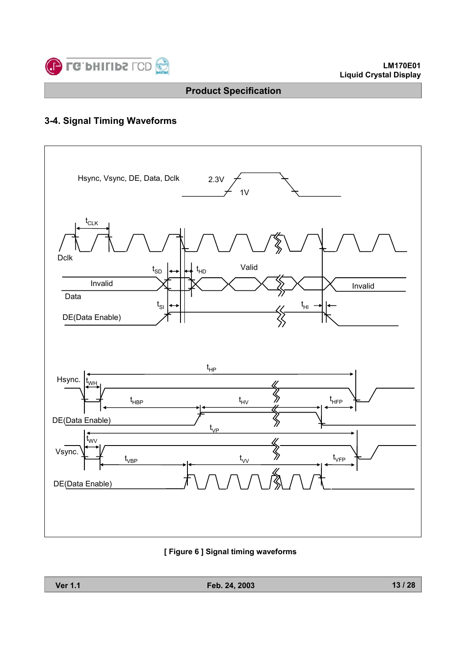

## **3-4. Signal Timing Waveforms**



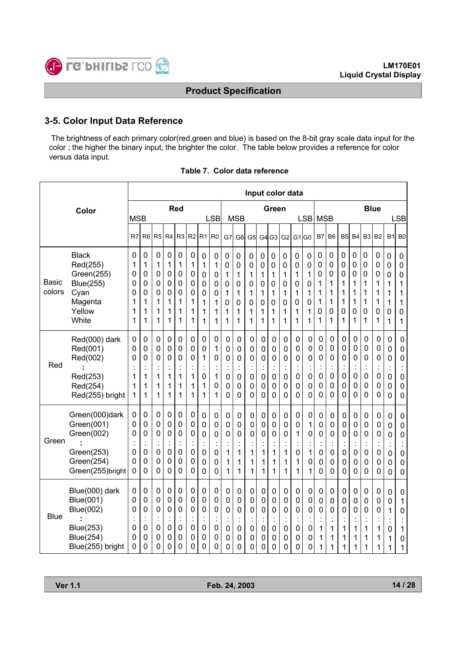

## **3-5. Color Input Data Reference**

The brightness of each primary color(red,green and blue) is based on the 8-bit gray scale data input for the color ; the higher the binary input, the brighter the color. The table below provides a reference for color versus data input.

|                 |                                                                                                      |                            |                                                                         |                                                    |                                              |                                                                  |                                       |                                                        |                                              |                                                                          |                                                                               | Input color data                             |                                                           |                                                        |                                                                  |                                              |                                    |                                                           |                                                        |                                                                                                |                                                        |                                                    |                                                                |                                                          |                                                                         |
|-----------------|------------------------------------------------------------------------------------------------------|----------------------------|-------------------------------------------------------------------------|----------------------------------------------------|----------------------------------------------|------------------------------------------------------------------|---------------------------------------|--------------------------------------------------------|----------------------------------------------|--------------------------------------------------------------------------|-------------------------------------------------------------------------------|----------------------------------------------|-----------------------------------------------------------|--------------------------------------------------------|------------------------------------------------------------------|----------------------------------------------|------------------------------------|-----------------------------------------------------------|--------------------------------------------------------|------------------------------------------------------------------------------------------------|--------------------------------------------------------|----------------------------------------------------|----------------------------------------------------------------|----------------------------------------------------------|-------------------------------------------------------------------------|
|                 | Color                                                                                                | <b>MSB</b>                 |                                                                         |                                                    |                                              | <b>Red</b>                                                       |                                       |                                                        | <b>LSB</b>                                   |                                                                          | <b>MSB</b>                                                                    |                                              |                                                           | Green                                                  |                                                                  |                                              | <b>LSB</b>                         | <b>MSB</b>                                                |                                                        |                                                                                                |                                                        |                                                    | <b>Blue</b>                                                    |                                                          | <b>LSB</b>                                                              |
|                 |                                                                                                      |                            |                                                                         |                                                    |                                              | R <sub>3</sub>                                                   |                                       |                                                        | R <sub>0</sub>                               |                                                                          |                                                                               |                                              |                                                           |                                                        |                                                                  |                                              |                                    |                                                           |                                                        |                                                                                                |                                                        |                                                    | B <sub>2</sub>                                                 |                                                          | B <sub>0</sub>                                                          |
|                 |                                                                                                      | R7                         | R <sub>6</sub>                                                          | R <sub>5</sub>                                     | R <sub>4</sub>                               |                                                                  | R <sub>2</sub>                        | R <sub>1</sub>                                         |                                              | G7                                                                       | G <sub>6</sub>                                                                | G5                                           | G <sub>4</sub>                                            | G <sub>3</sub>                                         | G <sub>2</sub>                                                   | G1lG0                                        |                                    | <b>B7</b>                                                 | B <sub>6</sub>                                         | B <sub>5</sub>                                                                                 | <b>B4</b>                                              | B <sub>3</sub>                                     |                                                                | <b>B1</b>                                                |                                                                         |
| Basic<br>colors | <b>Black</b><br>Red(255)<br>Green(255)<br><b>Blue(255)</b>                                           | 0<br>1<br>0<br>0           | 0<br>1<br>0<br>0                                                        | 0<br>1<br>$\mathsf{O}\xspace$<br>0                 | 0<br>1<br>0<br>0                             | 0<br>1<br>$\mathbf 0$<br>0                                       | 0<br>1<br>0<br>0                      | 0<br>1<br>0<br>0                                       | 0<br>1<br>0<br>0                             | 0<br>0<br>1<br>$\mathsf{O}\xspace$                                       | 0<br>0<br>1<br>0                                                              | 0<br>0<br>1<br>0                             | $\mathbf 0$<br>0<br>1<br>$\mathbf 0$                      | 0<br>0<br>1<br>0                                       | 0<br>$\mathbf 0$<br>1<br>$\mathbf 0$                             | 0<br>0<br>1<br>0                             | 0<br>0<br>1<br>$\mathsf{O}\xspace$ | $\mathbf 0$<br>$\mathbf 0$<br>$\mathbf 0$<br>1            | 0<br>0<br>0<br>1                                       | 0<br>0<br>0<br>1                                                                               | 0<br>$\mathbf 0$<br>$\mathbf 0$<br>1                   | 0<br>$\mathbf 0$<br>$\mathbf 0$<br>1               | $\mathbf 0$<br>0<br>$\mathbf 0$<br>1                           | 0<br>0<br>0<br>1                                         | 0<br>0<br>0<br>1                                                        |
|                 | Cyan<br>Magenta<br>Yellow<br>White                                                                   | 0<br>1<br>1<br>1           | 0<br>1<br>1<br>1                                                        | 0<br>1<br>1<br>1                                   | 0<br>1<br>1<br>1                             | 0<br>1<br>1<br>1                                                 | 0<br>1<br>1<br>1                      | 0<br>1<br>1<br>1                                       | 0<br>1<br>1<br>1                             | 1<br>0<br>1<br>1                                                         | 1<br>0<br>1<br>1                                                              | 1<br>0<br>1<br>1                             | 1<br>0<br>1<br>1                                          | 1<br>0<br>1<br>1                                       | 1<br>0<br>1<br>1                                                 | 1<br>0<br>1<br>1                             | 1<br>0<br>1<br>1                   | 1<br>1<br>0<br>1                                          | 1<br>1<br>0<br>1                                       | 1<br>1<br>0<br>1                                                                               | 1<br>1<br>0<br>1                                       | 1<br>1<br>$\mathbf 0$<br>1                         | 1<br>1<br>0<br>1                                               | 1<br>1<br>0<br>1                                         | 1<br>1<br>0<br>1                                                        |
| Red             | Red(000) dark<br>Red(001)<br>Red(002)<br>Red(253)                                                    | 0<br>0<br>0<br>1           | 0<br>0<br>0<br>$\ddot{\cdot}$<br>1                                      | 0<br>0<br>0<br>t<br>1                              | 0<br>0<br>0<br>$\ddot{\cdot}$<br>1           | 0<br>0<br>0<br>$\ddot{\cdot}$<br>1                               | 0<br>0<br>0<br>İ<br>1                 | 0<br>0<br>1<br>$\ddot{\phantom{a}}$<br>0               | 0<br>1<br>0<br>$\ddot{\cdot}$<br>1           | 0<br>0<br>$\mathbf 0$<br>Î.<br>$\mathbf 0$                               | 0<br>0<br>0<br>$\mathbf 0$                                                    | 0<br>0<br>0<br>$\ddot{\cdot}$<br>0           | 0<br>0<br>0<br>0                                          | 0<br>0<br>0<br>$\ddot{\cdot}$<br>0                     | 0<br>0<br>0<br>$\ddot{\cdot}$<br>0                               | 0<br>0<br>0<br>0                             | 0<br>0<br>0<br>0                   | 0<br>0<br>$\mathbf 0$<br>$\bullet$<br>$\mathbf 0$         | 0<br>0<br>0<br>$\ddot{\cdot}$<br>0                     | 0<br>0<br>0<br>$\ddot{\cdot}$<br>0                                                             | 0<br>0<br>$\mathbf 0$<br>$\ddot{\cdot}$<br>$\mathbf 0$ | 0<br>0<br>0<br>$\ddot{\cdot}$<br>0                 | 0<br>0<br>0<br>$\ddot{\cdot}$<br>0                             | 0<br>0<br>0<br>t<br>0                                    | 0<br>0<br>0<br>0                                                        |
|                 | Red(254)<br>Red(255) bright                                                                          | 1<br>1                     | 1<br>1                                                                  | 1<br>1                                             | 1<br>1                                       | 1<br>1                                                           | 1<br>1                                | 1<br>1                                                 | 0<br>1                                       | $\mathbf 0$<br>$\mathbf 0$                                               | 0<br>$\Omega$                                                                 | 0<br>0                                       | 0<br>0                                                    | 0<br>0                                                 | 0<br>0                                                           | 0<br>0                                       | 0<br>0                             | 0<br>0                                                    | 0<br>0                                                 | 0<br>0                                                                                         | 0<br>0                                                 | 0<br>0                                             | 0<br>0                                                         | 0<br>0                                                   | 0<br>0                                                                  |
| Green           | Green(000)dark<br>Green(001)<br>Green(002)<br>Green(253)<br>Green(254)<br>Green(255)bright           | 0<br>0<br>0<br>0<br>0<br>0 | 0<br>$\mathbf 0$<br>0<br>$\cdot$<br>$\ddot{\phantom{a}}$<br>0<br>0<br>0 | 0<br>0<br>0<br>$\ddot{\cdot}$<br>0<br>0<br>0       | 0<br>0<br>0<br>$\ddot{\cdot}$<br>0<br>0<br>0 | 0<br>0<br>0<br>$\ddot{\cdot}$<br>$\mathbf 0$<br>$\mathbf 0$<br>0 | 0<br>0<br>0<br>ä,<br>0<br>0<br>0      | 0<br>0<br>0<br>$\ddot{\cdot}$<br>0<br>0<br>0           | 0<br>0<br>0<br>$\blacksquare$<br>0<br>0<br>0 | $\mathbf 0$<br>$\mathbf 0$<br>0<br>$\bullet$<br>1<br>1<br>1              | $\mathbf 0$<br>$\mathbf 0$<br>$\overline{0}$<br>$\ddot{\cdot}$<br>1<br>1<br>1 | 0<br>0<br>0<br>$\blacksquare$<br>1<br>1<br>1 | 0<br>0<br>$\overline{0}$<br>$\ddot{\cdot}$<br>1<br>1<br>1 | 0<br>0<br>$\mathbf 0$<br>$\ddot{\cdot}$<br>1<br>1<br>1 | $\mathbf 0$<br>0<br>$\mathbf 0$<br>$\blacksquare$<br>1<br>1<br>1 | 0<br>0<br>1<br>$\ddot{\cdot}$<br>0<br>1<br>1 | 0<br>1<br>0<br>1<br>0<br>1         | 0<br>0<br>0<br>$\blacksquare$<br>0<br>0<br>$\overline{0}$ | $\mathbf 0$<br>0<br>0<br>$\ddot{\cdot}$<br>0<br>0<br>0 | 0<br>$\mathbf 0$<br>$\mathbf 0$<br>$\ddot{\cdot}$<br>$\mathbf 0$<br>$\mathbf 0$<br>$\mathbf 0$ | 0<br>0<br>0<br>×,<br>0<br>0<br>$\mathbf 0$             | 0<br>0<br>0<br>ä,<br>0<br>0<br>0                   | 0<br>$\pmb{0}$<br>$\mathbf 0$<br>$\ddot{\cdot}$<br>0<br>0<br>0 | $\mathbf 0$<br>$\mathbf 0$<br>0<br>0<br>0<br>$\mathbf 0$ | 0<br>$\mathbf 0$<br>$\mathbf 0$<br>İ<br>0<br>$\mathbf 0$<br>$\mathbf 0$ |
| <b>Blue</b>     | Blue(000) dark<br>Blue(001)<br>Blue(002)<br><b>Blue(253)</b><br><b>Blue(254)</b><br>Blue(255) bright | 0<br>0<br>0<br>0<br>0<br>0 | 0<br>$\mathbf 0$<br>0<br>$\pmb{0}$<br>0<br>0                            | 0<br>0<br>0<br>Ĭ.<br>$\mathsf{O}\xspace$<br>0<br>0 | 0<br>0<br>0<br>$\ddot{\cdot}$<br>0<br>0<br>0 | $\mathbf 0$<br>0<br>0<br>$\ddot{\cdot}$<br>$\mathbf 0$<br>0<br>0 | 0<br>0<br>0<br>$\cdot$<br>0<br>0<br>0 | 0<br>0<br>0<br>$\ddot{\cdot}$<br>$\mathbf 0$<br>0<br>0 | 0<br>0<br>0<br>$\ddot{\cdot}$<br>0<br>0<br>0 | $\pmb{0}$<br>$\mathbf 0$<br>0<br>$\blacksquare$<br>$\mathbf 0$<br>0<br>0 | $\mathbf 0$<br>0<br>0<br>$\ddot{\cdot}$<br>$\pmb{0}$<br>0<br>0                | 0<br>0<br>0<br>0<br>0<br>0                   | 0<br>0<br>0<br>$\cdot$<br>$\mathbf 0$<br>0<br>0           | 0<br>0<br>0<br>$\ddot{\cdot}$<br>$\pmb{0}$<br>0<br>0   | $\pmb{0}$<br>$\pmb{0}$<br>$\mathbf 0$<br>$\cdot$<br>0<br>0<br>0  | 0<br>0<br>0<br>$\ddot{\cdot}$<br>0<br>0<br>0 | 0<br>0<br>0<br>0<br>0<br>0         | $\mathbf 0$<br>$\mathbf 0$<br>0<br>1<br>1<br>1            | 0<br>0<br>0<br>$\ddot{\cdot}$<br>1<br>1<br>1           | $\mathbf 0$<br>$\mathbf 0$<br>0<br>$\blacksquare$<br>1<br>1<br>1                               | $\mathbf 0$<br>$\mathbf 0$<br>0<br>1<br>1<br>1         | 0<br>0<br>0<br>$\bullet$<br>$\cdot$<br>1<br>1<br>1 | 0<br>0<br>0<br>$\bullet$<br>l,<br>1<br>1<br>1                  | 0<br>0<br>1<br>٠<br>0<br>1<br>1                          | 0<br>1<br>0<br>ä,<br>1<br>0<br>1                                        |

|  |  |  | Table 7. Color data reference |
|--|--|--|-------------------------------|
|--|--|--|-------------------------------|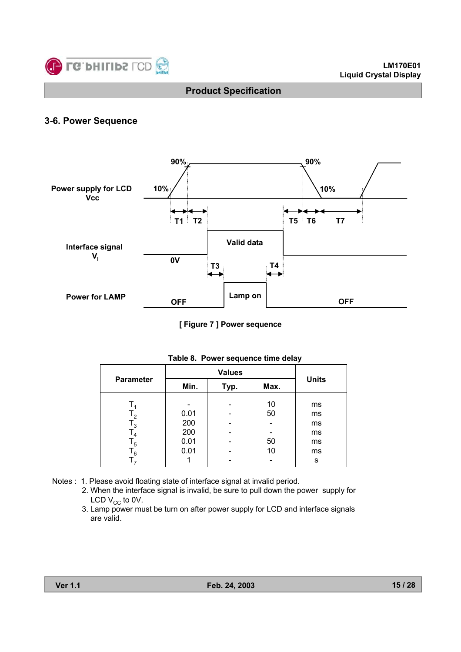

## **3-6. Power Sequence**



**[ Figure 7 ] Power sequence**

| <b>Parameter</b>                                           | Min.                       | Typ. | <b>Units</b>   |                            |  |
|------------------------------------------------------------|----------------------------|------|----------------|----------------------------|--|
| $T_{2}$<br>$\mathsf{T}_3$<br>$\mathsf{T}_4$<br>$T_{\bf 5}$ | 0.01<br>200<br>200<br>0.01 |      | 10<br>50<br>50 | ms<br>ms<br>ms<br>ms<br>ms |  |
| 6 ا                                                        | 0.01                       |      | 10             | ms<br>S                    |  |

|  | Table 8. Power sequence time delay |  |  |
|--|------------------------------------|--|--|
|  |                                    |  |  |

- Notes : 1. Please avoid floating state of interface signal at invalid period.
	- 2. When the interface signal is invalid, be sure to pull down the power supply for LCD  $V_{CC}$  to 0V.
	- 3. Lamp power must be turn on after power supply for LCD and interface signals are valid.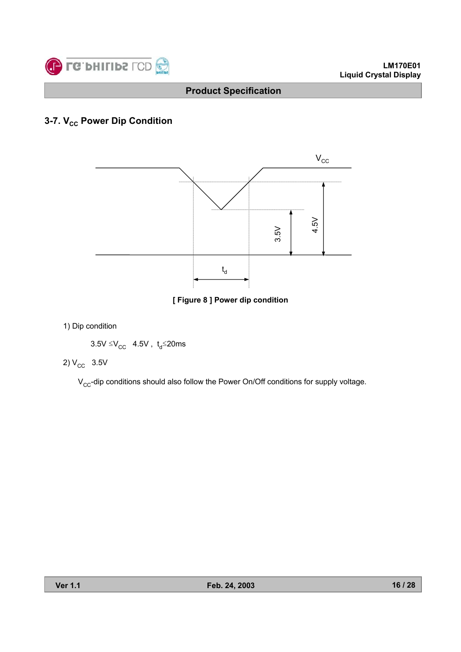

## **3-7. V<sub>cc</sub> Power Dip Condition**



**[ Figure 8 ] Power dip condition**

1) Dip condition

 $3.5V \leq V_{CC}$  4.5V,  $t_d \leq 20$ ms

## 2)  $V_{CC}$  3.5V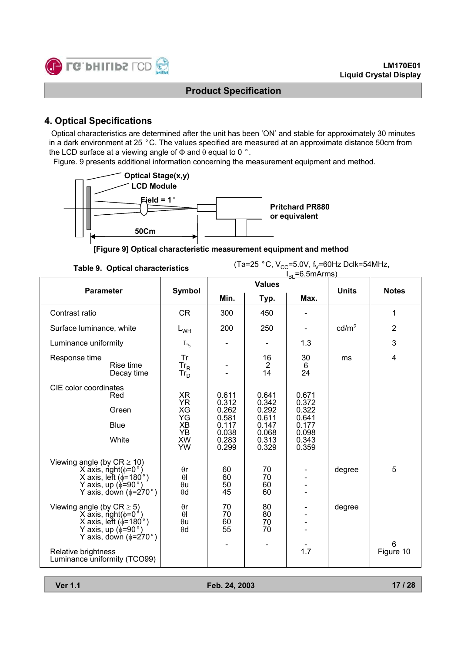

### **4. Optical Specifications**

Optical characteristics are determined after the unit has been 'ON' and stable for approximately 30 minutes in a dark environment at 25 °C. The values specified are measured at an approximate distance 50cm from the LCD surface at a viewing angle of  $\Phi$  and  $\theta$  equal to 0 °.

Figure. 9 presents additional information concerning the measurement equipment and method.



**[Figure 9] Optical characteristic measurement equipment and method**

**Table 9. Optical characteristics**

(Ta=25  $^{\circ}$ C, V<sub>CC</sub>=5.0V, f<sub>V</sub>=60Hz Dclk=54MHz,

|                                                                                                                                                                 |                                                    |                                           |                                           | $IPl = 6.5 mArms$                         |                   |                         |
|-----------------------------------------------------------------------------------------------------------------------------------------------------------------|----------------------------------------------------|-------------------------------------------|-------------------------------------------|-------------------------------------------|-------------------|-------------------------|
| <b>Parameter</b>                                                                                                                                                | <b>Symbol</b>                                      |                                           | <b>Values</b>                             |                                           | <b>Units</b>      | <b>Notes</b>            |
|                                                                                                                                                                 |                                                    | Min.                                      | Typ.                                      | Max.                                      |                   |                         |
| Contrast ratio                                                                                                                                                  | <b>CR</b>                                          | 300                                       | 450                                       |                                           |                   | 1                       |
| Surface luminance, white                                                                                                                                        | $L_{WH}$                                           | 200                                       | 250                                       |                                           | cd/m <sup>2</sup> | $\overline{2}$          |
| Luminance uniformity                                                                                                                                            | $L_{5}$                                            |                                           |                                           | 1.3                                       |                   | 3                       |
| Response time<br>Rise time<br>Decay time                                                                                                                        | Tr<br>$Tr_R$<br>$Tr_{D}^{}$                        |                                           | 16<br>$\overline{2}$<br>14                | 30<br>6<br>24                             | ms                | $\overline{\mathbf{4}}$ |
| CIE color coordinates<br>Red<br>Green                                                                                                                           | XR<br><b>YR</b><br>XG                              | 0.611<br>0.312<br>0.262                   | 0.641<br>0.342<br>0.292                   | 0.671<br>0.372<br>0.322                   |                   |                         |
| <b>Blue</b><br>White                                                                                                                                            | YG<br>XB<br>YB<br><b>XW</b><br>YW                  | 0.581<br>0.117<br>0.038<br>0.283<br>0.299 | 0.611<br>0.147<br>0.068<br>0.313<br>0.329 | 0.641<br>0.177<br>0.098<br>0.343<br>0.359 |                   |                         |
| Viewing angle (by $CR \ge 10$ )<br>X axis, right( $\phi$ =0°)<br>X axis, left ( $\phi$ =180°)<br>Y axis, up ( $\phi$ =90°)<br>Y axis, down ( $\phi$ =270°)      | $\theta$ r<br>$\theta$<br>$\theta$ u<br>$\theta$ d | 60<br>60<br>50<br>45                      | 70<br>70<br>60<br>60                      |                                           | degree            | 5                       |
| Viewing angle (by $CR \ge 5$ )<br>X axis, right( $\phi$ =0 <sup>°</sup> )<br>X axis, left ( $\phi$ =180°)<br>Y axis, up (≬=90°)<br>Y axis, down ( $\phi$ =270°) | $\theta$ r<br>$\theta$<br>$\theta$ u<br>$\theta$ d | 70<br>70<br>60<br>55                      | 80<br>80<br>70<br>70                      |                                           | degree            |                         |
| Relative brightness<br>Luminance uniformity (TCO99)                                                                                                             |                                                    | $\blacksquare$                            |                                           | 1.7                                       |                   | 6<br>Figure 10          |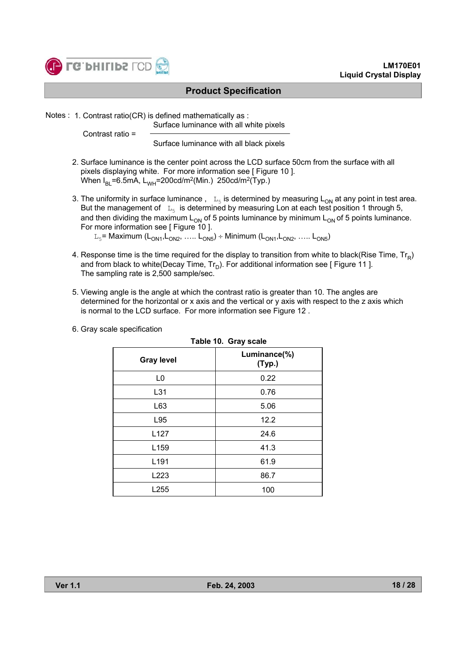

Notes : 1. Contrast ratio(CR) is defined mathematically as :

Surface luminance with all white pixels

Contrast ratio =

Surface luminance with all black pixels

- 2. Surface luminance is the center point across the LCD surface 50cm from the surface with all pixels displaying white. For more information see [ Figure 10 ]. When  $I_{BL}$ =6.5mA, L<sub>WH</sub>=200cd/m<sup>2</sup>(Min.) 250cd/m<sup>2</sup>(Typ.)
- 3. The uniformity in surface luminance,  $L_5$  is determined by measuring  $L_{ON}$  at any point in test area. But the management of  $L_5$  is determined by measuring Lon at each test position 1 through 5, and then dividing the maximum  $L_{ON}$  of 5 points luminance by minimum  $L_{ON}$  of 5 points luminance. For more information see [ Figure 10 ].  $L_5$ = Maximum (L<sub>ON1</sub>,L<sub>ON2</sub>, ….. L<sub>ON5</sub>) ÷ Minimum (L<sub>ON1</sub>,L<sub>ON2</sub>, ….. L<sub>ON5</sub>)
- 4. Response time is the time required for the display to transition from white to black(Rise Time,  $Tr_R$ ) and from black to white(Decay Time,  $Tr_D$ ). For additional information see [ Figure 11 ]. The sampling rate is 2,500 sample/sec.
- 5. Viewing angle is the angle at which the contrast ratio is greater than 10. The angles are determined for the horizontal or x axis and the vertical or y axis with respect to the z axis which is normal to the LCD surface. For more information see Figure 12 .

|                   | Table 10. Gray scale   |
|-------------------|------------------------|
| <b>Gray level</b> | Luminance(%)<br>(Typ.) |
| L <sub>0</sub>    | 0.22                   |
| L31               | 0.76                   |
| L63               | 5.06                   |
| L95               | 12.2                   |
| L <sub>127</sub>  | 24.6                   |
| L <sub>159</sub>  | 41.3                   |
| L <sub>191</sub>  | 61.9                   |
| L <sub>223</sub>  | 86.7                   |
| L <sub>255</sub>  | 100                    |

6. Gray scale specification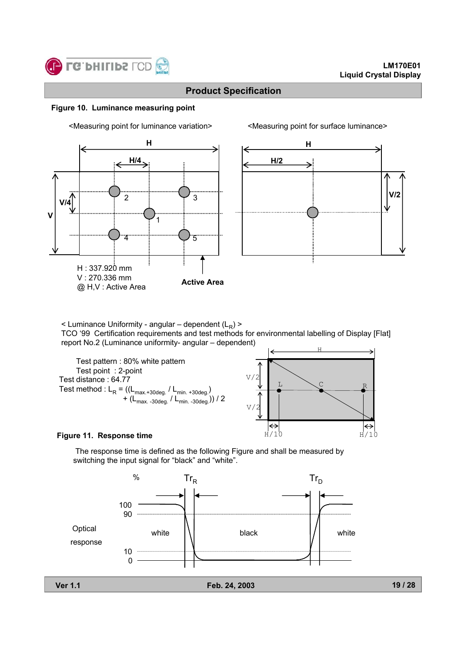

#### **Figure 10. Luminance measuring point**



<Measuring point for luminance variation> <Measuring point for surface luminance>



 $\leq$  Luminance Uniformity - angular – dependent (L<sub>R</sub>)  $\geq$ 

TCO '99 Certification requirements and test methods for environmental labelling of Display [Flat] report No.2 (Luminance uniformity- angular – dependent)



#### **Figure 11. Response time**

The response time is defined as the following Figure and shall be measured by switching the input signal for "black" and "white".

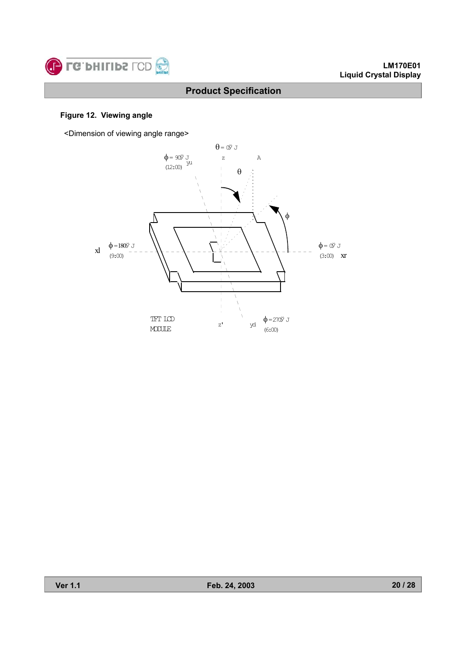

#### **Figure 12. Viewing angle**

<Dimension of viewing angle range>

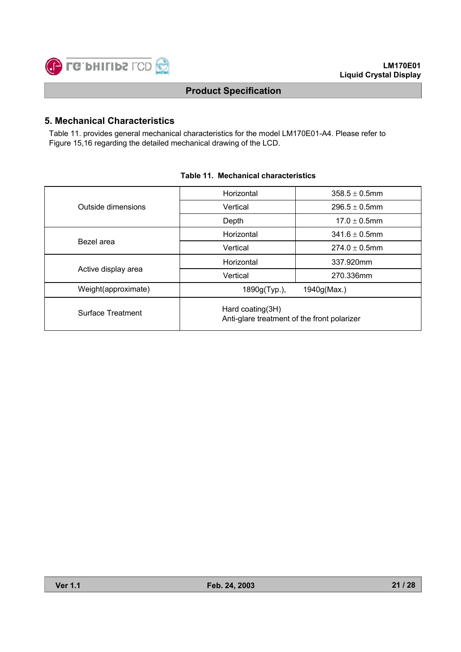

## **5. Mechanical Characteristics**

Table 11. provides general mechanical characteristics for the model LM170E01-A4. Please refer to Figure 15,16 regarding the detailed mechanical drawing of the LCD.

|                     | Horizontal                                                      | $358.5 + 0.5$ mm   |  |  |
|---------------------|-----------------------------------------------------------------|--------------------|--|--|
| Outside dimensions  | Vertical                                                        | $296.5 \pm 0.5$ mm |  |  |
|                     | Depth                                                           | $17.0 + 0.5$ mm    |  |  |
|                     | Horizontal                                                      | $341.6 \pm 0.5$ mm |  |  |
| Bezel area          | Vertical                                                        | $274.0 \pm 0.5$ mm |  |  |
|                     | Horizontal                                                      | 337.920mm          |  |  |
| Active display area | Vertical                                                        | 270.336mm          |  |  |
| Weight(approximate) | 1890g(Typ.),                                                    | 1940g(Max.)        |  |  |
| Surface Treatment   | Hard coating(3H)<br>Anti-glare treatment of the front polarizer |                    |  |  |

#### **Table 11. Mechanical characteristics**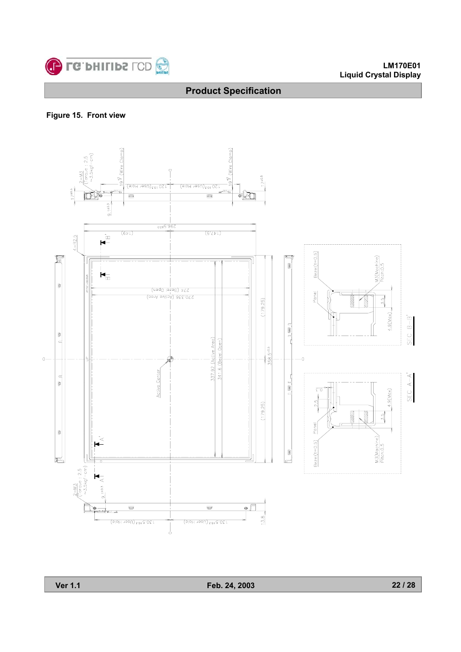

#### **LM170E01 Liquid Crystal Display**

## **Product Specification**

**Figure 15. Front view**

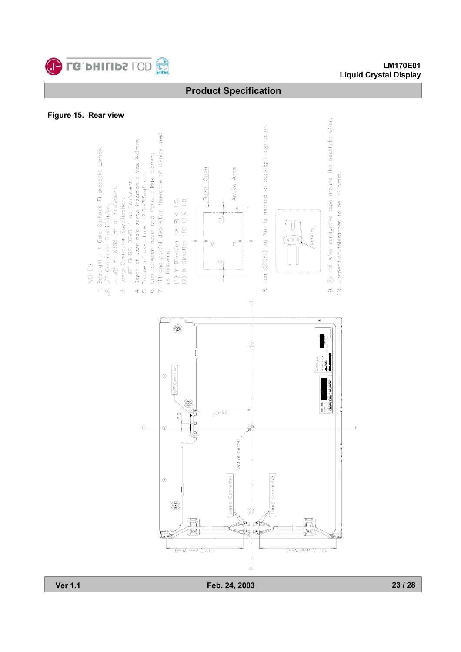

#### **LM170E01 Liquid Crystal Display**

## **Product Specification**

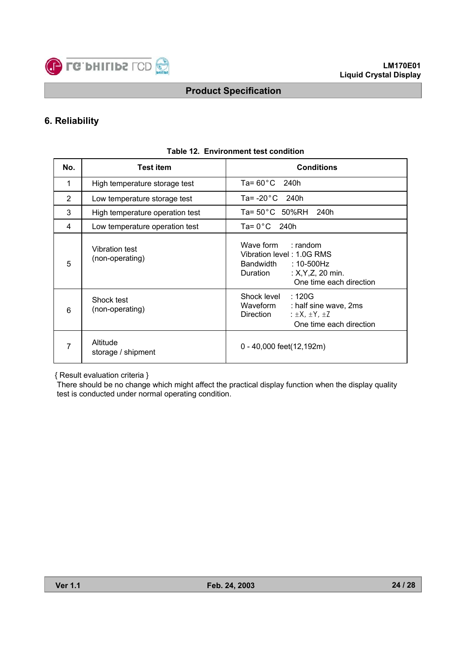

## **6. Reliability**

| No.            | <b>Test item</b>                  | <b>Conditions</b>                                                                                                                        |
|----------------|-----------------------------------|------------------------------------------------------------------------------------------------------------------------------------------|
| 1              | High temperature storage test     | Ta= $60^{\circ}$ C 240h                                                                                                                  |
| $\overline{2}$ | Low temperature storage test      | Ta= $-20^{\circ}$ C 240h                                                                                                                 |
| 3              | High temperature operation test   | $Ta = 50^{\circ}C$ 50%RH 240h                                                                                                            |
| 4              | Low temperature operation test    | Ta= $0^{\circ}$ C 240h                                                                                                                   |
| 5              | Vibration test<br>(non-operating) | Wave form : random<br>Vibration level: 1.0G RMS<br>:10-500Hz<br>Bandwidth<br>Duration<br>: $X, Y, Z, 20$ min.<br>One time each direction |
| 6              | Shock test<br>(non-operating)     | :120G<br>Shock level<br>Waveform<br>: half sine wave, 2ms<br>Direction<br>: $\pm$ X, $\pm$ Y, $\pm$ Z<br>One time each direction         |
| 7              | Altitude<br>storage / shipment    | 0 - 40,000 feet(12,192m)                                                                                                                 |

#### **Table 12. Environment test condition**

{ Result evaluation criteria }

There should be no change which might affect the practical display function when the display quality test is conducted under normal operating condition.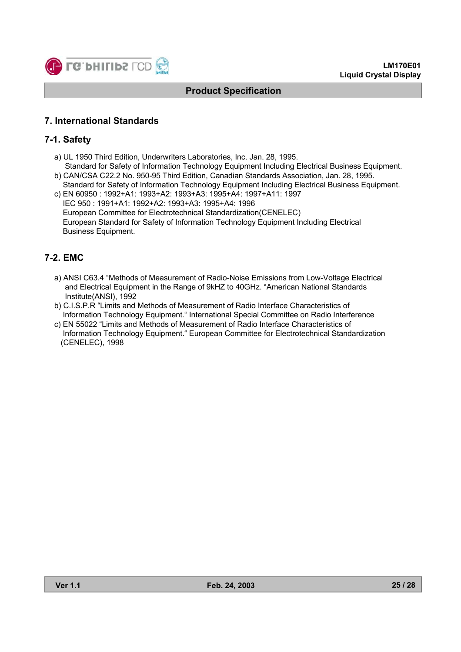

## **7. International Standards**

### **7-1. Safety**

- a) UL 1950 Third Edition, Underwriters Laboratories, Inc. Jan. 28, 1995.
- Standard for Safety of Information Technology Equipment Including Electrical Business Equipment. b) CAN/CSA C22.2 No. 950-95 Third Edition, Canadian Standards Association, Jan. 28, 1995.
- Standard for Safety of Information Technology Equipment Including Electrical Business Equipment. c) EN 60950 : 1992+A1: 1993+A2: 1993+A3: 1995+A4: 1997+A11: 1997
- IEC 950 : 1991+A1: 1992+A2: 1993+A3: 1995+A4: 1996 European Committee for Electrotechnical Standardization(CENELEC) European Standard for Safety of Information Technology Equipment Including Electrical Business Equipment.

## **7-2. EMC**

- a) ANSI C63.4 "Methods of Measurement of Radio-Noise Emissions from Low-Voltage Electrical and Electrical Equipment in the Range of 9kHZ to 40GHz. "American National Standards Institute(ANSI), 1992
- b) C.I.S.P.R "Limits and Methods of Measurement of Radio Interface Characteristics of Information Technology Equipment." International Special Committee on Radio Interference
- c) EN 55022 "Limits and Methods of Measurement of Radio Interface Characteristics of Information Technology Equipment." European Committee for Electrotechnical Standardization (CENELEC), 1998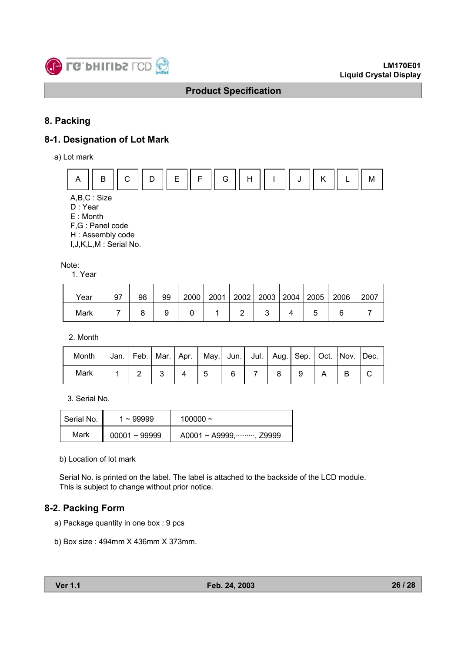

## **8. Packing**

## **8-1. Designation of Lot Mark**

a) Lot mark



A,B,C : Size

D : Year

E : Month

F,G : Panel code

H : Assembly code

I,J,K,L,M : Serial No.

Note:

1. Year

| Year | 97 | 98 | 99 | 2000 | 2001 | 2002 |  | 2003   2004   2005 | 2006 | 2007 |
|------|----|----|----|------|------|------|--|--------------------|------|------|
| Mark |    |    |    |      |      |      |  |                    |      |      |

2. Month

| Month | Jan.   Feb.   Mar.   Apr.   May.  Jun.   Jul.   Aug.   Sep.   Oct.   Nov.   Dec. |  |  |  |  |  |  |
|-------|----------------------------------------------------------------------------------|--|--|--|--|--|--|
| Mark  |                                                                                  |  |  |  |  |  |  |

3. Serial No.

| Serial No. | $1 - 99999$     | $100000 \sim$          |
|------------|-----------------|------------------------|
| Mark       | $00001 - 99999$ | A0001 ~ A9999, , Z9999 |

b) Location of lot mark

Serial No. is printed on the label. The label is attached to the backside of the LCD module. This is subject to change without prior notice.

## **8-2. Packing Form**

a) Package quantity in one box : 9 pcs

b) Box size : 494mm X 436mm X 373mm.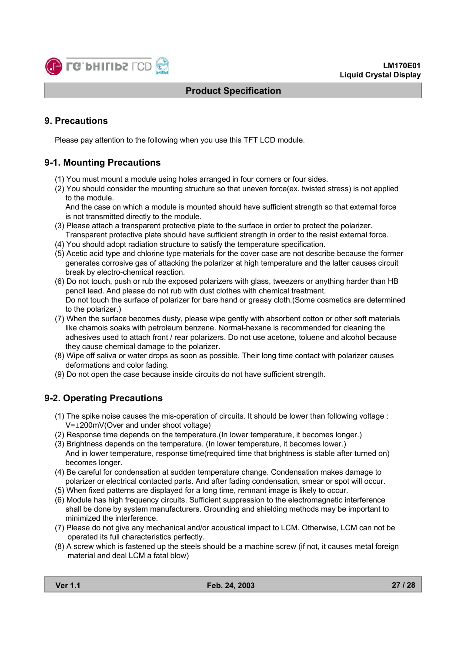

## **9. Precautions**

Please pay attention to the following when you use this TFT LCD module.

## **9-1. Mounting Precautions**

- (1) You must mount a module using holes arranged in four corners or four sides.
- (2) You should consider the mounting structure so that uneven force(ex. twisted stress) is not applied to the module.

And the case on which a module is mounted should have sufficient strength so that external force is not transmitted directly to the module.

- (3) Please attach a transparent protective plate to the surface in order to protect the polarizer. Transparent protective plate should have sufficient strength in order to the resist external force.
- (4) You should adopt radiation structure to satisfy the temperature specification.
- (5) Acetic acid type and chlorine type materials for the cover case are not describe because the former generates corrosive gas of attacking the polarizer at high temperature and the latter causes circuit break by electro-chemical reaction.
- (6) Do not touch, push or rub the exposed polarizers with glass, tweezers or anything harder than HB pencil lead. And please do not rub with dust clothes with chemical treatment. Do not touch the surface of polarizer for bare hand or greasy cloth.(Some cosmetics are determined to the polarizer.)
- (7) When the surface becomes dusty, please wipe gently with absorbent cotton or other soft materials like chamois soaks with petroleum benzene. Normal-hexane is recommended for cleaning the adhesives used to attach front / rear polarizers. Do not use acetone, toluene and alcohol because they cause chemical damage to the polarizer.
- (8) Wipe off saliva or water drops as soon as possible. Their long time contact with polarizer causes deformations and color fading.
- (9) Do not open the case because inside circuits do not have sufficient strength.

## **9-2. Operating Precautions**

- (1) The spike noise causes the mis-operation of circuits. It should be lower than following voltage : V=±200mV(Over and under shoot voltage)
- (2) Response time depends on the temperature.(In lower temperature, it becomes longer.)
- (3) Brightness depends on the temperature. (In lower temperature, it becomes lower.) And in lower temperature, response time(required time that brightness is stable after turned on) becomes longer.
- (4) Be careful for condensation at sudden temperature change. Condensation makes damage to polarizer or electrical contacted parts. And after fading condensation, smear or spot will occur.
- (5) When fixed patterns are displayed for a long time, remnant image is likely to occur.
- (6) Module has high frequency circuits. Sufficient suppression to the electromagnetic interference shall be done by system manufacturers. Grounding and shielding methods may be important to minimized the interference.
- (7) Please do not give any mechanical and/or acoustical impact to LCM. Otherwise, LCM can not be operated its full characteristics perfectly.
- (8) A screw which is fastened up the steels should be a machine screw (if not, it causes metal foreign material and deal LCM a fatal blow)